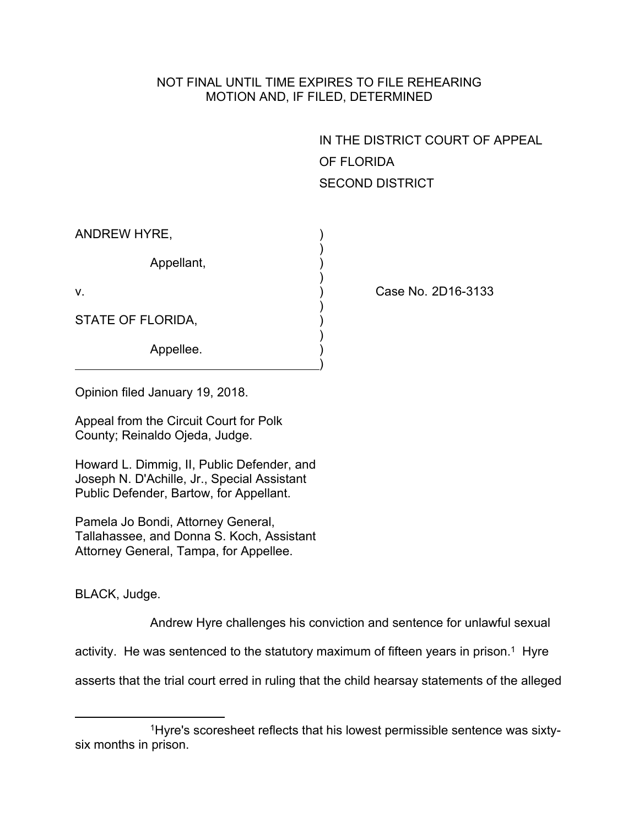## NOT FINAL UNTIL TIME EXPIRES TO FILE REHEARING MOTION AND, IF FILED, DETERMINED

IN THE DISTRICT COURT OF APPEAL OF FLORIDA SECOND DISTRICT

| ANDREW HYRE,      |  |
|-------------------|--|
| Appellant,        |  |
| V.                |  |
| STATE OF FLORIDA, |  |
| Appellee.         |  |

Case No. 2D16-3133

Opinion filed January 19, 2018.

Appeal from the Circuit Court for Polk County; Reinaldo Ojeda, Judge.

Howard L. Dimmig, II, Public Defender, and Joseph N. D'Achille, Jr., Special Assistant Public Defender, Bartow, for Appellant.

Pamela Jo Bondi, Attorney General, Tallahassee, and Donna S. Koch, Assistant Attorney General, Tampa, for Appellee.

BLACK, Judge.

Andrew Hyre challenges his conviction and sentence for unlawful sexual

activity. He was sentenced to the statutory maximum of fifteen years in prison.<sup>1</sup> Hyre

asserts that the trial court erred in ruling that the child hearsay statements of the alleged

<sup>1</sup>Hyre's scoresheet reflects that his lowest permissible sentence was sixtysix months in prison.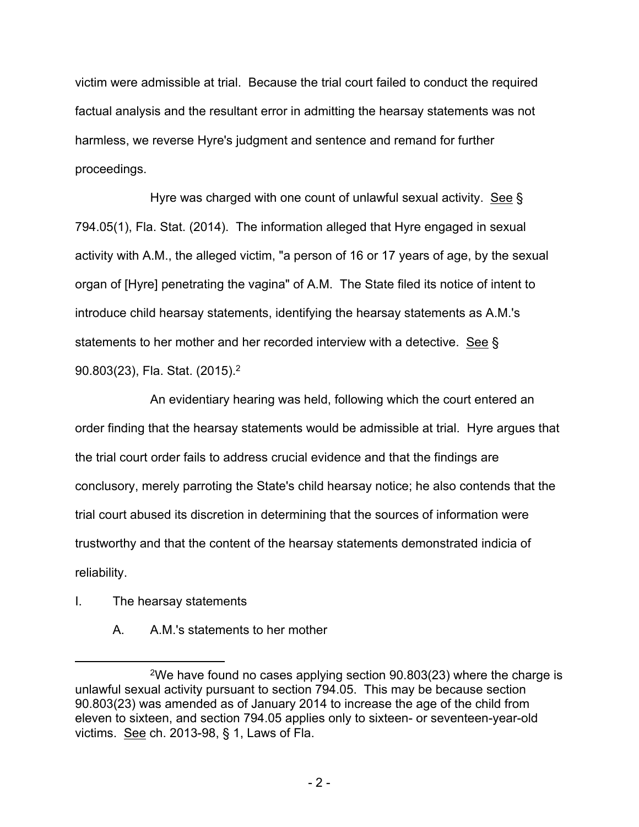victim were admissible at trial. Because the trial court failed to conduct the required factual analysis and the resultant error in admitting the hearsay statements was not harmless, we reverse Hyre's judgment and sentence and remand for further proceedings.

Hyre was charged with one count of unlawful sexual activity. See § 794.05(1), Fla. Stat. (2014). The information alleged that Hyre engaged in sexual activity with A.M., the alleged victim, "a person of 16 or 17 years of age, by the sexual organ of [Hyre] penetrating the vagina" of A.M. The State filed its notice of intent to introduce child hearsay statements, identifying the hearsay statements as A.M.'s statements to her mother and her recorded interview with a detective. See § 90.803(23), Fla. Stat. (2015).<sup>2</sup>

An evidentiary hearing was held, following which the court entered an order finding that the hearsay statements would be admissible at trial. Hyre argues that the trial court order fails to address crucial evidence and that the findings are conclusory, merely parroting the State's child hearsay notice; he also contends that the trial court abused its discretion in determining that the sources of information were trustworthy and that the content of the hearsay statements demonstrated indicia of reliability.

- I. The hearsay statements
	- A. A.M.'s statements to her mother

<sup>2</sup>We have found no cases applying section 90.803(23) where the charge is unlawful sexual activity pursuant to section 794.05. This may be because section 90.803(23) was amended as of January 2014 to increase the age of the child from eleven to sixteen, and section 794.05 applies only to sixteen- or seventeen-year-old victims. See ch. 2013-98, § 1, Laws of Fla.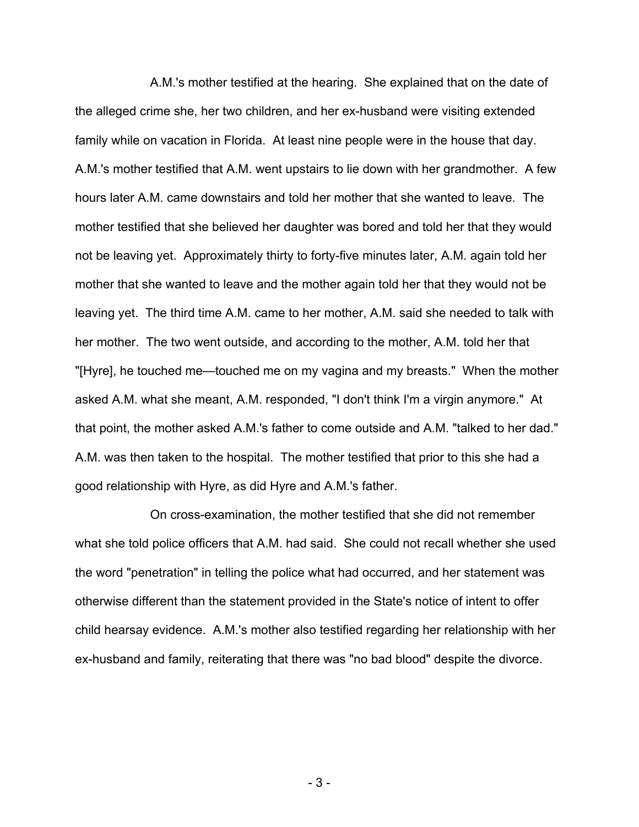A.M.'s mother testified at the hearing. She explained that on the date of the alleged crime she, her two children, and her ex-husband were visiting extended family while on vacation in Florida. At least nine people were in the house that day. A.M.'s mother testified that A.M. went upstairs to lie down with her grandmother. A few hours later A.M. came downstairs and told her mother that she wanted to leave. The mother testified that she believed her daughter was bored and told her that they would not be leaving yet. Approximately thirty to forty-five minutes later, A.M. again told her mother that she wanted to leave and the mother again told her that they would not be leaving yet. The third time A.M. came to her mother, A.M. said she needed to talk with her mother. The two went outside, and according to the mother, A.M. told her that "[Hyre], he touched me—touched me on my vagina and my breasts." When the mother asked A.M. what she meant, A.M. responded, "I don't think I'm a virgin anymore." At that point, the mother asked A.M.'s father to come outside and A.M. "talked to her dad." A.M. was then taken to the hospital. The mother testified that prior to this she had a good relationship with Hyre, as did Hyre and A.M.'s father.

On cross-examination, the mother testified that she did not remember what she told police officers that A.M. had said. She could not recall whether she used the word "penetration" in telling the police what had occurred, and her statement was otherwise different than the statement provided in the State's notice of intent to offer child hearsay evidence. A.M.'s mother also testified regarding her relationship with her ex-husband and family, reiterating that there was "no bad blood" despite the divorce.

- 3 -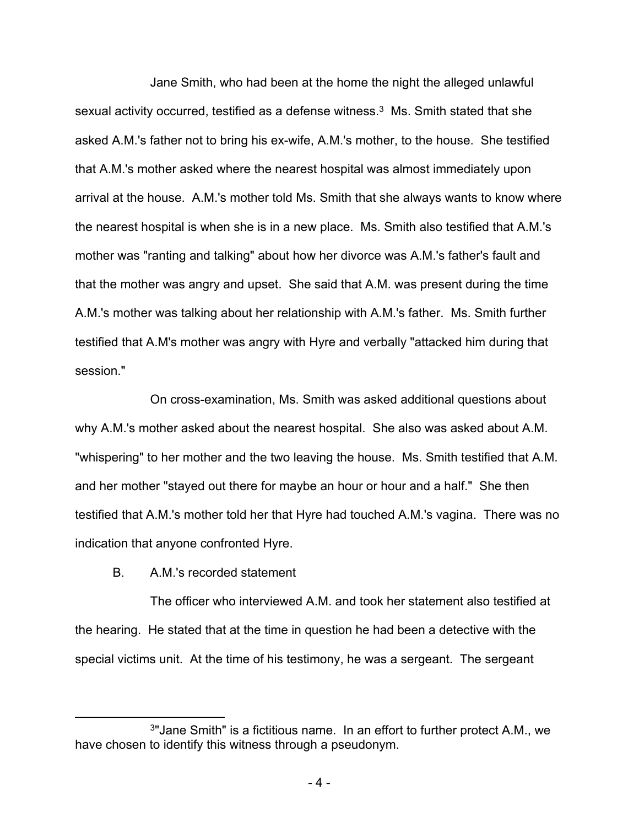Jane Smith, who had been at the home the night the alleged unlawful sexual activity occurred, testified as a defense witness.<sup>3</sup> Ms. Smith stated that she asked A.M.'s father not to bring his ex-wife, A.M.'s mother, to the house. She testified that A.M.'s mother asked where the nearest hospital was almost immediately upon arrival at the house. A.M.'s mother told Ms. Smith that she always wants to know where the nearest hospital is when she is in a new place. Ms. Smith also testified that A.M.'s mother was "ranting and talking" about how her divorce was A.M.'s father's fault and that the mother was angry and upset. She said that A.M. was present during the time A.M.'s mother was talking about her relationship with A.M.'s father. Ms. Smith further testified that A.M's mother was angry with Hyre and verbally "attacked him during that session."

On cross-examination, Ms. Smith was asked additional questions about why A.M.'s mother asked about the nearest hospital. She also was asked about A.M. "whispering" to her mother and the two leaving the house. Ms. Smith testified that A.M. and her mother "stayed out there for maybe an hour or hour and a half." She then testified that A.M.'s mother told her that Hyre had touched A.M.'s vagina. There was no indication that anyone confronted Hyre.

B. A.M.'s recorded statement

The officer who interviewed A.M. and took her statement also testified at the hearing. He stated that at the time in question he had been a detective with the special victims unit. At the time of his testimony, he was a sergeant. The sergeant

<sup>3</sup> "Jane Smith" is a fictitious name. In an effort to further protect A.M., we have chosen to identify this witness through a pseudonym.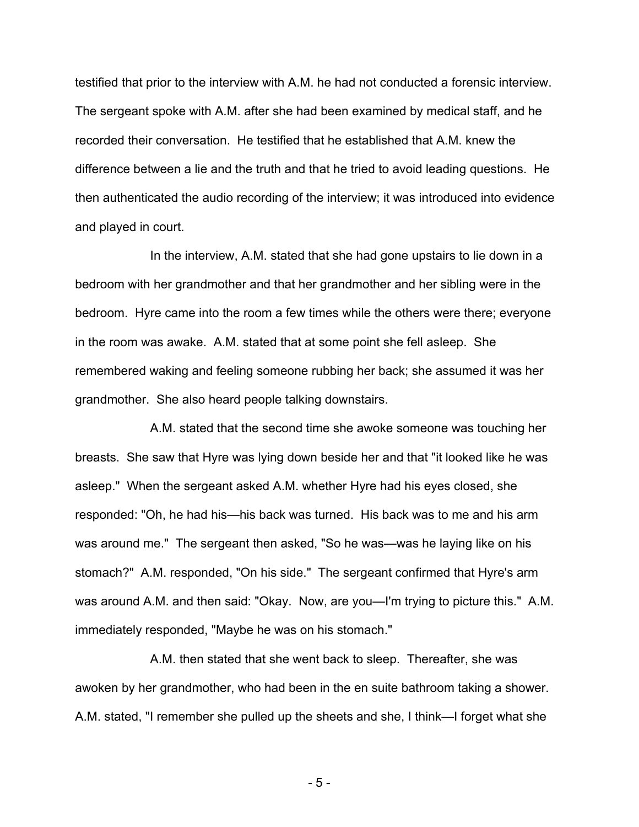testified that prior to the interview with A.M. he had not conducted a forensic interview. The sergeant spoke with A.M. after she had been examined by medical staff, and he recorded their conversation. He testified that he established that A.M. knew the difference between a lie and the truth and that he tried to avoid leading questions. He then authenticated the audio recording of the interview; it was introduced into evidence and played in court.

In the interview, A.M. stated that she had gone upstairs to lie down in a bedroom with her grandmother and that her grandmother and her sibling were in the bedroom. Hyre came into the room a few times while the others were there; everyone in the room was awake. A.M. stated that at some point she fell asleep. She remembered waking and feeling someone rubbing her back; she assumed it was her grandmother. She also heard people talking downstairs.

A.M. stated that the second time she awoke someone was touching her breasts. She saw that Hyre was lying down beside her and that "it looked like he was asleep." When the sergeant asked A.M. whether Hyre had his eyes closed, she responded: "Oh, he had his—his back was turned. His back was to me and his arm was around me." The sergeant then asked, "So he was—was he laying like on his stomach?" A.M. responded, "On his side." The sergeant confirmed that Hyre's arm was around A.M. and then said: "Okay. Now, are you—I'm trying to picture this." A.M. immediately responded, "Maybe he was on his stomach."

A.M. then stated that she went back to sleep. Thereafter, she was awoken by her grandmother, who had been in the en suite bathroom taking a shower. A.M. stated, "I remember she pulled up the sheets and she, I think—I forget what she

- 5 -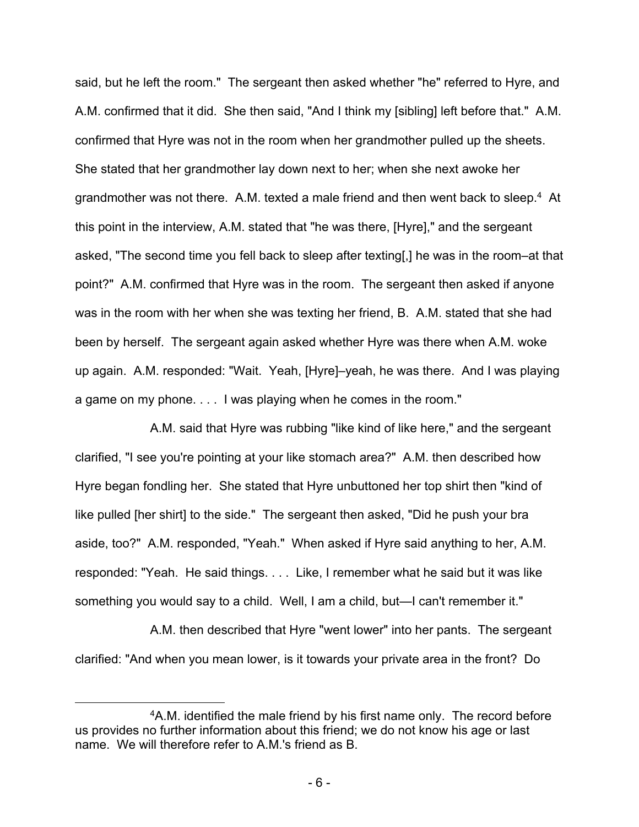said, but he left the room." The sergeant then asked whether "he" referred to Hyre, and A.M. confirmed that it did. She then said, "And I think my [sibling] left before that." A.M. confirmed that Hyre was not in the room when her grandmother pulled up the sheets. She stated that her grandmother lay down next to her; when she next awoke her grandmother was not there. A.M. texted a male friend and then went back to sleep.<sup>4</sup> At this point in the interview, A.M. stated that "he was there, [Hyre]," and the sergeant asked, "The second time you fell back to sleep after texting[,] he was in the room–at that point?" A.M. confirmed that Hyre was in the room. The sergeant then asked if anyone was in the room with her when she was texting her friend, B. A.M. stated that she had been by herself. The sergeant again asked whether Hyre was there when A.M. woke up again. A.M. responded: "Wait. Yeah, [Hyre]–yeah, he was there. And I was playing a game on my phone. . . . I was playing when he comes in the room."

A.M. said that Hyre was rubbing "like kind of like here," and the sergeant clarified, "I see you're pointing at your like stomach area?" A.M. then described how Hyre began fondling her. She stated that Hyre unbuttoned her top shirt then "kind of like pulled [her shirt] to the side." The sergeant then asked, "Did he push your bra aside, too?" A.M. responded, "Yeah." When asked if Hyre said anything to her, A.M. responded: "Yeah. He said things. . . . Like, I remember what he said but it was like something you would say to a child. Well, I am a child, but—I can't remember it."

A.M. then described that Hyre "went lower" into her pants. The sergeant clarified: "And when you mean lower, is it towards your private area in the front? Do

<sup>4</sup>A.M. identified the male friend by his first name only. The record before us provides no further information about this friend; we do not know his age or last name. We will therefore refer to A.M.'s friend as B.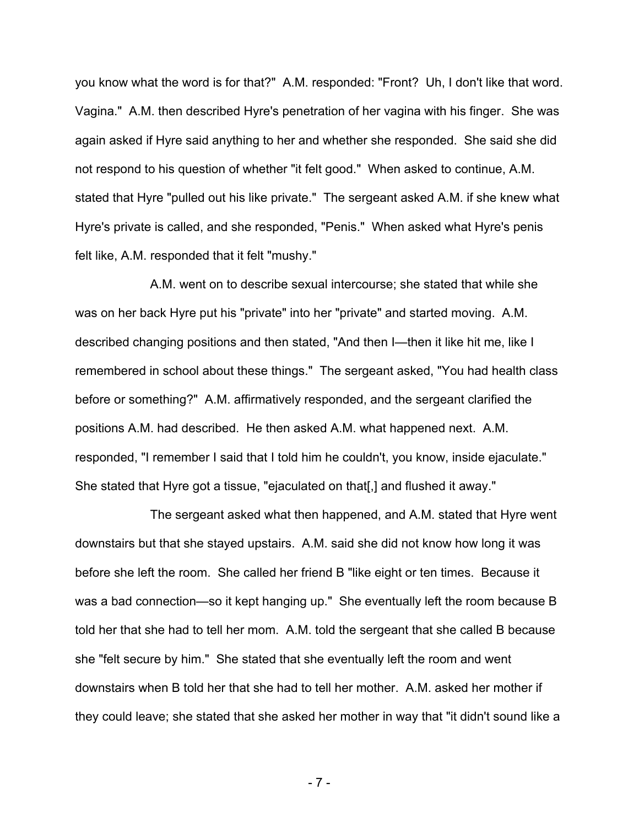you know what the word is for that?" A.M. responded: "Front? Uh, I don't like that word. Vagina." A.M. then described Hyre's penetration of her vagina with his finger. She was again asked if Hyre said anything to her and whether she responded. She said she did not respond to his question of whether "it felt good." When asked to continue, A.M. stated that Hyre "pulled out his like private." The sergeant asked A.M. if she knew what Hyre's private is called, and she responded, "Penis." When asked what Hyre's penis felt like, A.M. responded that it felt "mushy."

A.M. went on to describe sexual intercourse; she stated that while she was on her back Hyre put his "private" into her "private" and started moving. A.M. described changing positions and then stated, "And then I—then it like hit me, like I remembered in school about these things." The sergeant asked, "You had health class before or something?" A.M. affirmatively responded, and the sergeant clarified the positions A.M. had described. He then asked A.M. what happened next. A.M. responded, "I remember I said that I told him he couldn't, you know, inside ejaculate." She stated that Hyre got a tissue, "ejaculated on that[,] and flushed it away."

The sergeant asked what then happened, and A.M. stated that Hyre went downstairs but that she stayed upstairs. A.M. said she did not know how long it was before she left the room. She called her friend B "like eight or ten times. Because it was a bad connection—so it kept hanging up." She eventually left the room because B told her that she had to tell her mom. A.M. told the sergeant that she called B because she "felt secure by him." She stated that she eventually left the room and went downstairs when B told her that she had to tell her mother. A.M. asked her mother if they could leave; she stated that she asked her mother in way that "it didn't sound like a

- 7 -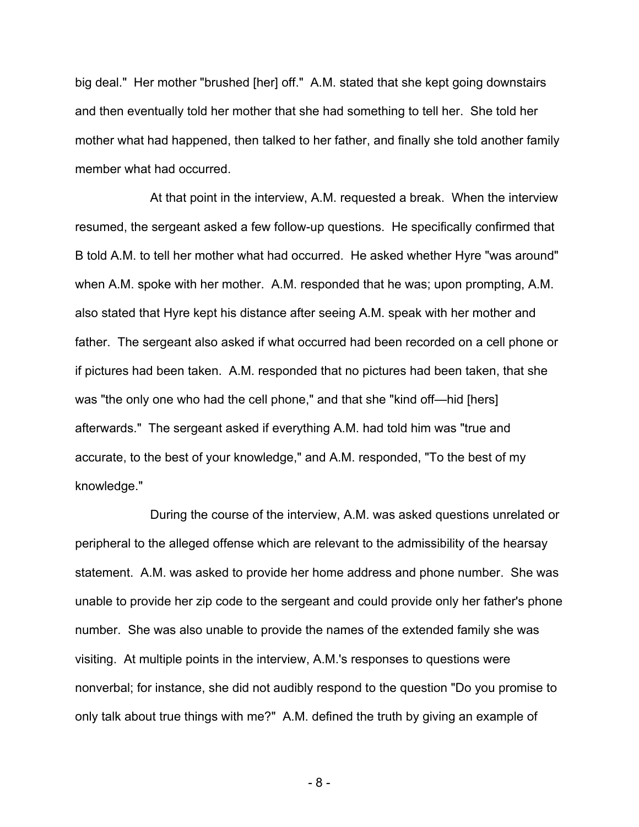big deal." Her mother "brushed [her] off." A.M. stated that she kept going downstairs and then eventually told her mother that she had something to tell her. She told her mother what had happened, then talked to her father, and finally she told another family member what had occurred.

At that point in the interview, A.M. requested a break. When the interview resumed, the sergeant asked a few follow-up questions. He specifically confirmed that B told A.M. to tell her mother what had occurred. He asked whether Hyre "was around" when A.M. spoke with her mother. A.M. responded that he was; upon prompting, A.M. also stated that Hyre kept his distance after seeing A.M. speak with her mother and father. The sergeant also asked if what occurred had been recorded on a cell phone or if pictures had been taken. A.M. responded that no pictures had been taken, that she was "the only one who had the cell phone," and that she "kind off—hid [hers] afterwards." The sergeant asked if everything A.M. had told him was "true and accurate, to the best of your knowledge," and A.M. responded, "To the best of my knowledge."

During the course of the interview, A.M. was asked questions unrelated or peripheral to the alleged offense which are relevant to the admissibility of the hearsay statement. A.M. was asked to provide her home address and phone number. She was unable to provide her zip code to the sergeant and could provide only her father's phone number. She was also unable to provide the names of the extended family she was visiting. At multiple points in the interview, A.M.'s responses to questions were nonverbal; for instance, she did not audibly respond to the question "Do you promise to only talk about true things with me?" A.M. defined the truth by giving an example of

- 8 -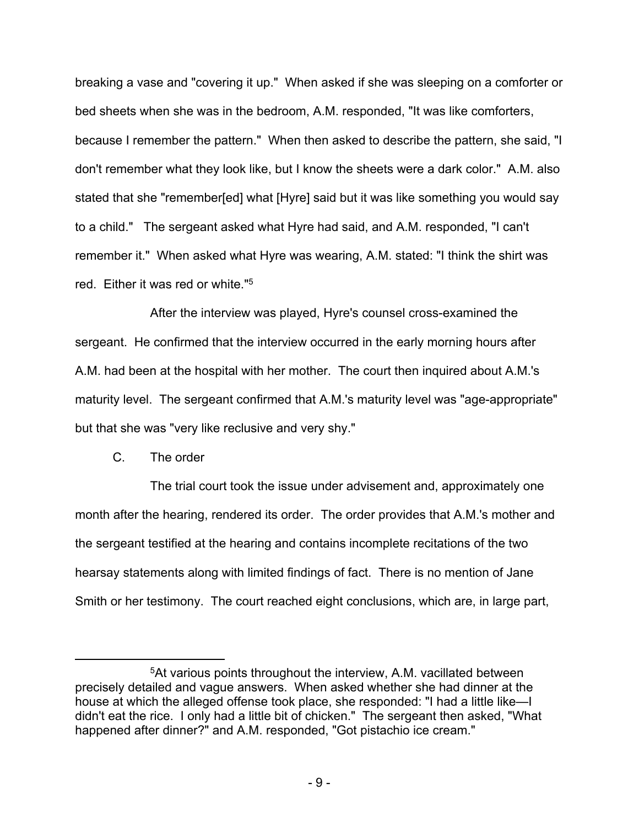breaking a vase and "covering it up." When asked if she was sleeping on a comforter or bed sheets when she was in the bedroom, A.M. responded, "It was like comforters, because I remember the pattern." When then asked to describe the pattern, she said, "I don't remember what they look like, but I know the sheets were a dark color." A.M. also stated that she "remember[ed] what [Hyre] said but it was like something you would say to a child." The sergeant asked what Hyre had said, and A.M. responded, "I can't remember it." When asked what Hyre was wearing, A.M. stated: "I think the shirt was red. Either it was red or white."<sup>5</sup>

After the interview was played, Hyre's counsel cross-examined the sergeant. He confirmed that the interview occurred in the early morning hours after A.M. had been at the hospital with her mother. The court then inquired about A.M.'s maturity level. The sergeant confirmed that A.M.'s maturity level was "age-appropriate" but that she was "very like reclusive and very shy."

## C. The order

The trial court took the issue under advisement and, approximately one month after the hearing, rendered its order. The order provides that A.M.'s mother and the sergeant testified at the hearing and contains incomplete recitations of the two hearsay statements along with limited findings of fact. There is no mention of Jane Smith or her testimony. The court reached eight conclusions, which are, in large part,

<sup>5</sup>At various points throughout the interview, A.M. vacillated between precisely detailed and vague answers. When asked whether she had dinner at the house at which the alleged offense took place, she responded: "I had a little like—I didn't eat the rice. I only had a little bit of chicken." The sergeant then asked, "What happened after dinner?" and A.M. responded, "Got pistachio ice cream."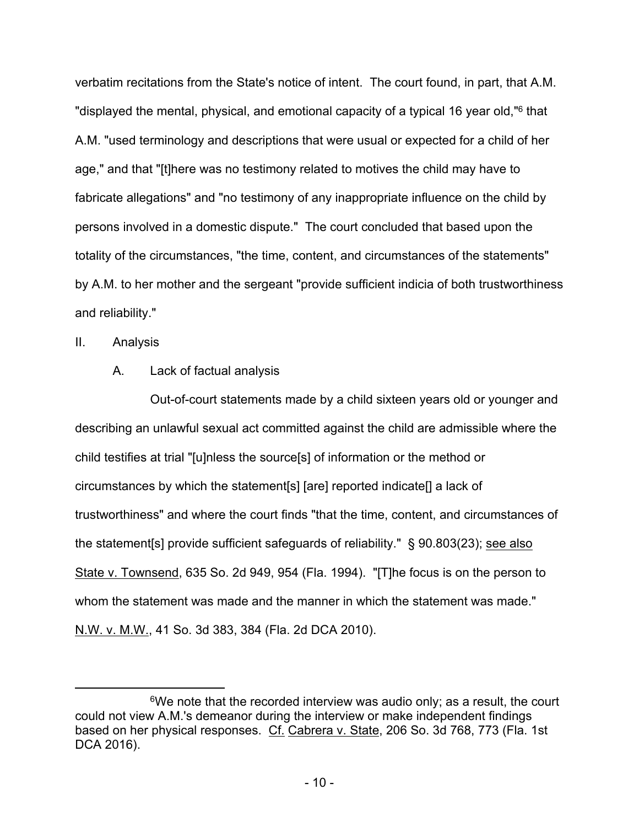verbatim recitations from the State's notice of intent. The court found, in part, that A.M. "displayed the mental, physical, and emotional capacity of a typical 16 year old,"<sup>6</sup> that A.M. "used terminology and descriptions that were usual or expected for a child of her age," and that "[t]here was no testimony related to motives the child may have to fabricate allegations" and "no testimony of any inappropriate influence on the child by persons involved in a domestic dispute." The court concluded that based upon the totality of the circumstances, "the time, content, and circumstances of the statements" by A.M. to her mother and the sergeant "provide sufficient indicia of both trustworthiness and reliability."

II. Analysis

A. Lack of factual analysis

Out-of-court statements made by a child sixteen years old or younger and describing an unlawful sexual act committed against the child are admissible where the child testifies at trial "[u]nless the source[s] of information or the method or circumstances by which the statement[s] [are] reported indicate[] a lack of trustworthiness" and where the court finds "that the time, content, and circumstances of the statement[s] provide sufficient safeguards of reliability." § 90.803(23); see also State v. Townsend, 635 So. 2d 949, 954 (Fla. 1994). "[T]he focus is on the person to whom the statement was made and the manner in which the statement was made." N.W. v. M.W., 41 So. 3d 383, 384 (Fla. 2d DCA 2010).

 $6$ We note that the recorded interview was audio only; as a result, the court could not view A.M.'s demeanor during the interview or make independent findings based on her physical responses. Cf. Cabrera v. State, 206 So. 3d 768, 773 (Fla. 1st DCA 2016).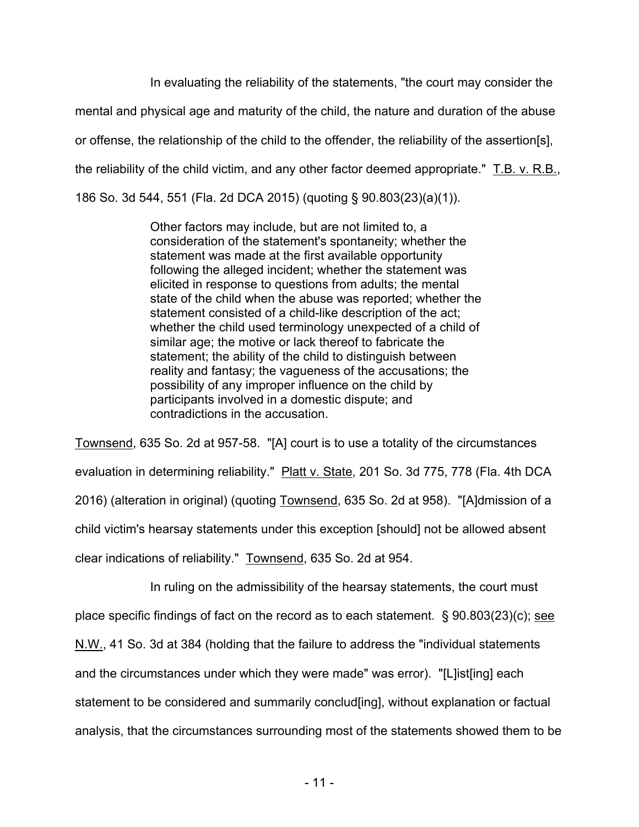In evaluating the reliability of the statements, "the court may consider the mental and physical age and maturity of the child, the nature and duration of the abuse or offense, the relationship of the child to the offender, the reliability of the assertion[s], the reliability of the child victim, and any other factor deemed appropriate." T.B. v. R.B., 186 So. 3d 544, 551 (Fla. 2d DCA 2015) (quoting § 90.803(23)(a)(1)).

> Other factors may include, but are not limited to, a consideration of the statement's spontaneity; whether the statement was made at the first available opportunity following the alleged incident; whether the statement was elicited in response to questions from adults; the mental state of the child when the abuse was reported; whether the statement consisted of a child-like description of the act; whether the child used terminology unexpected of a child of similar age; the motive or lack thereof to fabricate the statement; the ability of the child to distinguish between reality and fantasy; the vagueness of the accusations; the possibility of any improper influence on the child by participants involved in a domestic dispute; and contradictions in the accusation.

Townsend, 635 So. 2d at 957-58. "[A] court is to use a totality of the circumstances evaluation in determining reliability." Platt v. State, 201 So. 3d 775, 778 (Fla. 4th DCA 2016) (alteration in original) (quoting Townsend, 635 So. 2d at 958). "[A]dmission of a child victim's hearsay statements under this exception [should] not be allowed absent clear indications of reliability." Townsend, 635 So. 2d at 954.

In ruling on the admissibility of the hearsay statements, the court must place specific findings of fact on the record as to each statement. § 90.803(23)(c); see N.W., 41 So. 3d at 384 (holding that the failure to address the "individual statements and the circumstances under which they were made" was error). "[L]ist[ing] each statement to be considered and summarily conclud[ing], without explanation or factual analysis, that the circumstances surrounding most of the statements showed them to be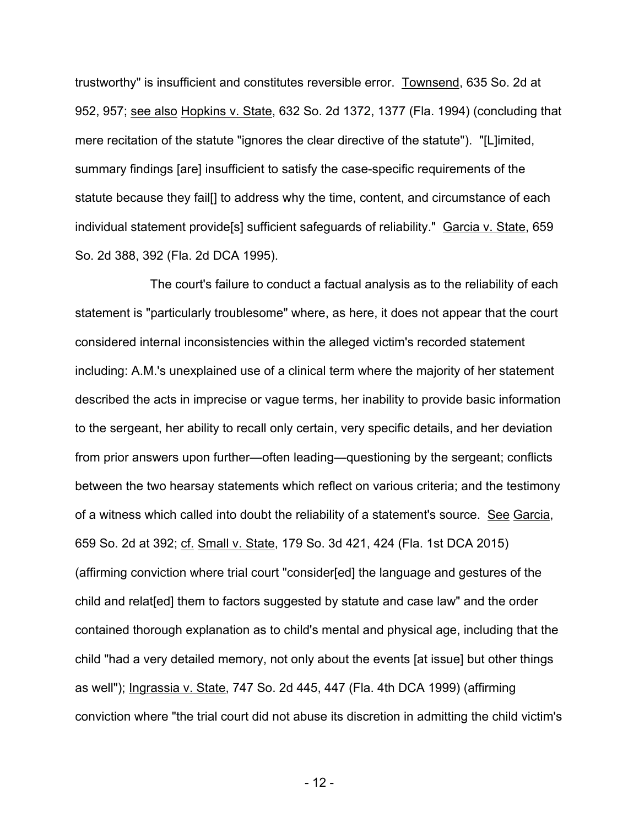trustworthy" is insufficient and constitutes reversible error. Townsend, 635 So. 2d at 952, 957; see also Hopkins v. State, 632 So. 2d 1372, 1377 (Fla. 1994) (concluding that mere recitation of the statute "ignores the clear directive of the statute"). "[L]imited, summary findings [are] insufficient to satisfy the case-specific requirements of the statute because they fail[] to address why the time, content, and circumstance of each individual statement provide[s] sufficient safeguards of reliability." Garcia v. State, 659 So. 2d 388, 392 (Fla. 2d DCA 1995).

The court's failure to conduct a factual analysis as to the reliability of each statement is "particularly troublesome" where, as here, it does not appear that the court considered internal inconsistencies within the alleged victim's recorded statement including: A.M.'s unexplained use of a clinical term where the majority of her statement described the acts in imprecise or vague terms, her inability to provide basic information to the sergeant, her ability to recall only certain, very specific details, and her deviation from prior answers upon further—often leading—questioning by the sergeant; conflicts between the two hearsay statements which reflect on various criteria; and the testimony of a witness which called into doubt the reliability of a statement's source. See Garcia, 659 So. 2d at 392; cf. Small v. State, 179 So. 3d 421, 424 (Fla. 1st DCA 2015) (affirming conviction where trial court "consider[ed] the language and gestures of the child and relat[ed] them to factors suggested by statute and case law" and the order contained thorough explanation as to child's mental and physical age, including that the child "had a very detailed memory, not only about the events [at issue] but other things as well"); Ingrassia v. State, 747 So. 2d 445, 447 (Fla. 4th DCA 1999) (affirming conviction where "the trial court did not abuse its discretion in admitting the child victim's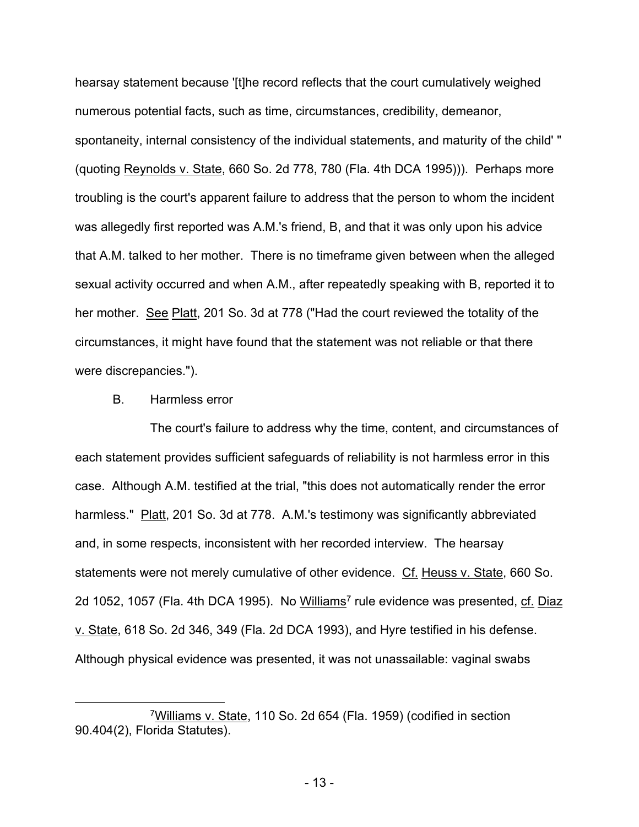hearsay statement because '[t]he record reflects that the court cumulatively weighed numerous potential facts, such as time, circumstances, credibility, demeanor, spontaneity, internal consistency of the individual statements, and maturity of the child' " (quoting Reynolds v. State, 660 So. 2d 778, 780 (Fla. 4th DCA 1995))). Perhaps more troubling is the court's apparent failure to address that the person to whom the incident was allegedly first reported was A.M.'s friend, B, and that it was only upon his advice that A.M. talked to her mother. There is no timeframe given between when the alleged sexual activity occurred and when A.M., after repeatedly speaking with B, reported it to her mother. See Platt, 201 So. 3d at 778 ("Had the court reviewed the totality of the circumstances, it might have found that the statement was not reliable or that there were discrepancies.").

## B. Harmless error

The court's failure to address why the time, content, and circumstances of each statement provides sufficient safeguards of reliability is not harmless error in this case. Although A.M. testified at the trial, "this does not automatically render the error harmless." Platt, 201 So. 3d at 778. A.M.'s testimony was significantly abbreviated and, in some respects, inconsistent with her recorded interview. The hearsay statements were not merely cumulative of other evidence. Cf. Heuss v. State, 660 So. 2d 1052, 1057 (Fla. 4th DCA 1995). No Williams<sup>7</sup> rule evidence was presented, cf. Diaz v. State, 618 So. 2d 346, 349 (Fla. 2d DCA 1993), and Hyre testified in his defense. Although physical evidence was presented, it was not unassailable: vaginal swabs

<sup>7</sup>Williams v. State, 110 So. 2d 654 (Fla. 1959) (codified in section 90.404(2), Florida Statutes).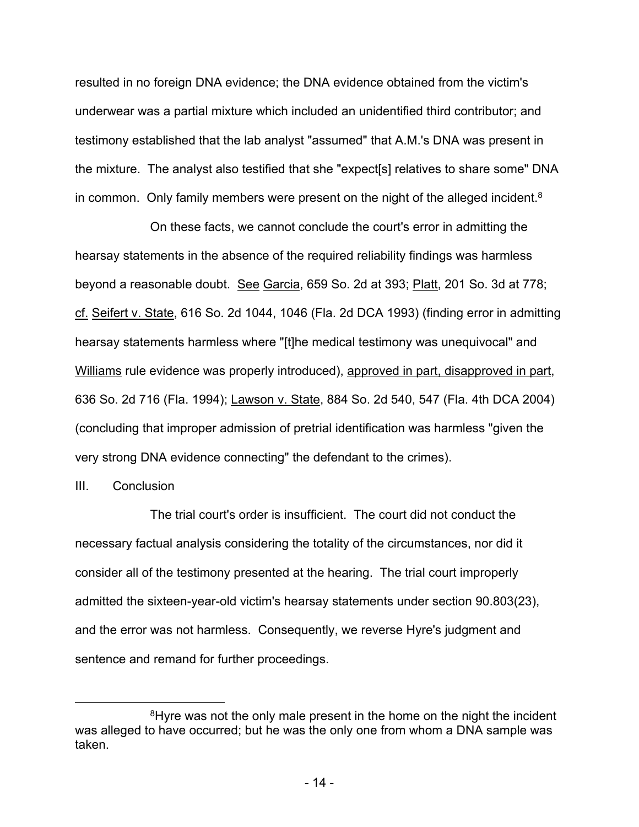resulted in no foreign DNA evidence; the DNA evidence obtained from the victim's underwear was a partial mixture which included an unidentified third contributor; and testimony established that the lab analyst "assumed" that A.M.'s DNA was present in the mixture. The analyst also testified that she "expect[s] relatives to share some" DNA in common. Only family members were present on the night of the alleged incident.<sup>8</sup>

On these facts, we cannot conclude the court's error in admitting the hearsay statements in the absence of the required reliability findings was harmless beyond a reasonable doubt. See Garcia, 659 So. 2d at 393; Platt, 201 So. 3d at 778; cf. Seifert v. State, 616 So. 2d 1044, 1046 (Fla. 2d DCA 1993) (finding error in admitting hearsay statements harmless where "[t]he medical testimony was unequivocal" and Williams rule evidence was properly introduced), approved in part, disapproved in part, 636 So. 2d 716 (Fla. 1994); Lawson v. State, 884 So. 2d 540, 547 (Fla. 4th DCA 2004) (concluding that improper admission of pretrial identification was harmless "given the very strong DNA evidence connecting" the defendant to the crimes).

## III. Conclusion

The trial court's order is insufficient. The court did not conduct the necessary factual analysis considering the totality of the circumstances, nor did it consider all of the testimony presented at the hearing. The trial court improperly admitted the sixteen-year-old victim's hearsay statements under section 90.803(23), and the error was not harmless. Consequently, we reverse Hyre's judgment and sentence and remand for further proceedings.

<sup>&</sup>lt;sup>8</sup>Hyre was not the only male present in the home on the night the incident was alleged to have occurred; but he was the only one from whom a DNA sample was taken.